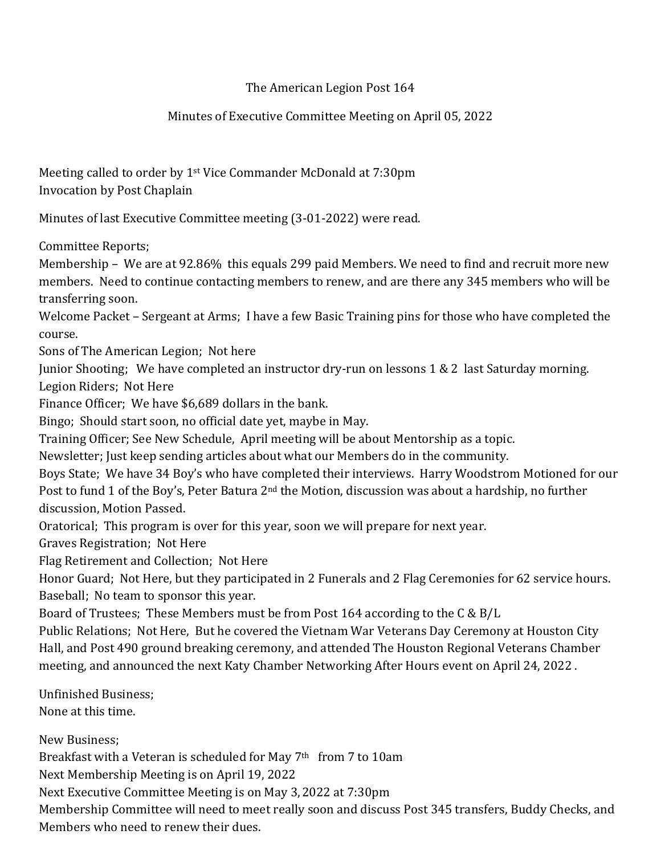## The American Legion Post 164

## Minutes of Executive Committee Meeting on April 05, 2022

Meeting called to order by 1st Vice Commander McDonald at 7:30pm Invocation by Post Chaplain

Minutes of last Executive Committee meeting (3-01-2022) were read.

Committee Reports;

Membership – We are at 92.86% this equals 299 paid Members. We need to find and recruit more new members. Need to continue contacting members to renew, and are there any 345 members who will be transferring soon.

Welcome Packet – Sergeant at Arms; I have a few Basic Training pins for those who have completed the course.

Sons of The American Legion; Not here

Junior Shooting; We have completed an instructor dry-run on lessons 1 & 2 last Saturday morning. Legion Riders; Not Here

Finance Officer; We have \$6,689 dollars in the bank.

Bingo; Should start soon, no official date yet, maybe in May.

Training Officer; See New Schedule, April meeting will be about Mentorship as a topic.

Newsletter; Just keep sending articles about what our Members do in the community.

Boys State; We have 34 Boy's who have completed their interviews. Harry Woodstrom Motioned for our Post to fund 1 of the Boy's, Peter Batura 2<sup>nd</sup> the Motion, discussion was about a hardship, no further discussion, Motion Passed.

Oratorical; This program is over for this year, soon we will prepare for next year.

Graves Registration; Not Here

Flag Retirement and Collection; Not Here

Honor Guard; Not Here, but they participated in 2 Funerals and 2 Flag Ceremonies for 62 service hours. Baseball; No team to sponsor this year.

Board of Trustees; These Members must be from Post 164 according to the C & B/L

Public Relations; Not Here, But he covered the Vietnam War Veterans Day Ceremony at Houston City Hall, and Post 490 ground breaking ceremony, and attended The Houston Regional Veterans Chamber meeting, and announced the next Katy Chamber Networking After Hours event on April 24, 2022 .

Unfinished Business; None at this time.

New Business; Breakfast with a Veteran is scheduled for May 7<sup>th</sup> from 7 to 10am Next Membership Meeting is on April 19, 2022 Next Executive Committee Meeting is on May 3, 2022 at 7:30pm Membership Committee will need to meet really soon and discuss Post 345 transfers, Buddy Checks, and Members who need to renew their dues.